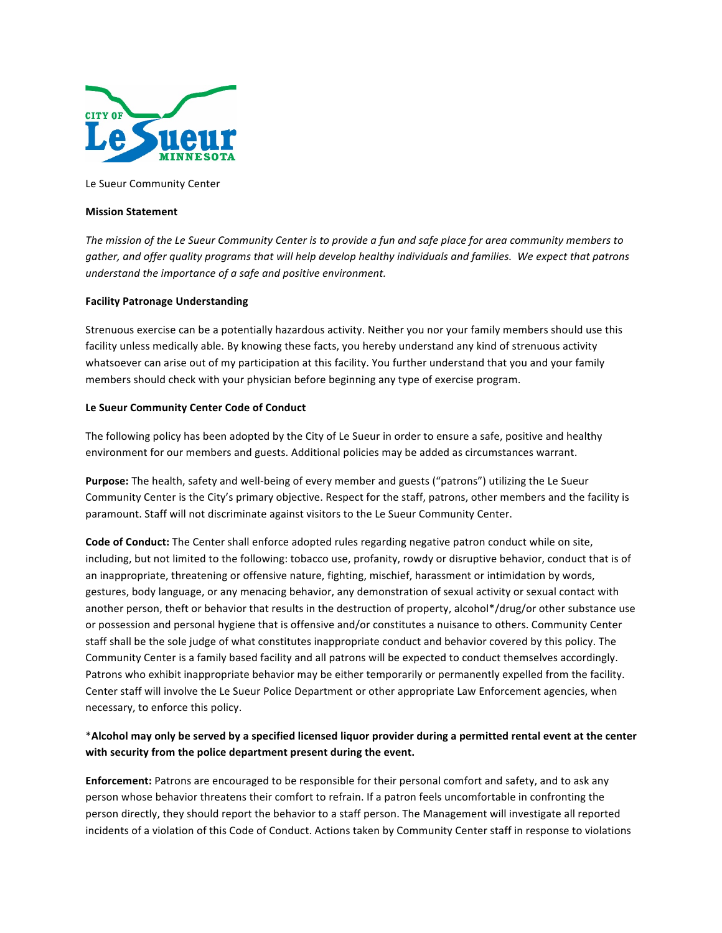

Le Sueur Community Center

#### **Mission Statement**

The mission of the Le Sueur Community Center is to provide a fun and safe place for area community members to gather, and offer quality programs that will help develop healthy individuals and families. We expect that patrons *understand the importance of a safe and positive environment.* 

#### **Facility Patronage Understanding**

Strenuous exercise can be a potentially hazardous activity. Neither you nor your family members should use this facility unless medically able. By knowing these facts, you hereby understand any kind of strenuous activity whatsoever can arise out of my participation at this facility. You further understand that you and your family members should check with your physician before beginning any type of exercise program.

#### Le Sueur Community Center Code of Conduct

The following policy has been adopted by the City of Le Sueur in order to ensure a safe, positive and healthy environment for our members and guests. Additional policies may be added as circumstances warrant.

**Purpose:** The health, safety and well-being of every member and guests ("patrons") utilizing the Le Sueur Community Center is the City's primary objective. Respect for the staff, patrons, other members and the facility is paramount. Staff will not discriminate against visitors to the Le Sueur Community Center.

**Code of Conduct:** The Center shall enforce adopted rules regarding negative patron conduct while on site, including, but not limited to the following: tobacco use, profanity, rowdy or disruptive behavior, conduct that is of an inappropriate, threatening or offensive nature, fighting, mischief, harassment or intimidation by words, gestures, body language, or any menacing behavior, any demonstration of sexual activity or sexual contact with another person, theft or behavior that results in the destruction of property, alcohol\*/drug/or other substance use or possession and personal hygiene that is offensive and/or constitutes a nuisance to others. Community Center staff shall be the sole judge of what constitutes inappropriate conduct and behavior covered by this policy. The Community Center is a family based facility and all patrons will be expected to conduct themselves accordingly. Patrons who exhibit inappropriate behavior may be either temporarily or permanently expelled from the facility. Center staff will involve the Le Sueur Police Department or other appropriate Law Enforcement agencies, when necessary, to enforce this policy.

# \*Alcohol may only be served by a specified licensed liquor provider during a permitted rental event at the center with security from the police department present during the event.

**Enforcement:** Patrons are encouraged to be responsible for their personal comfort and safety, and to ask any person whose behavior threatens their comfort to refrain. If a patron feels uncomfortable in confronting the person directly, they should report the behavior to a staff person. The Management will investigate all reported incidents of a violation of this Code of Conduct. Actions taken by Community Center staff in response to violations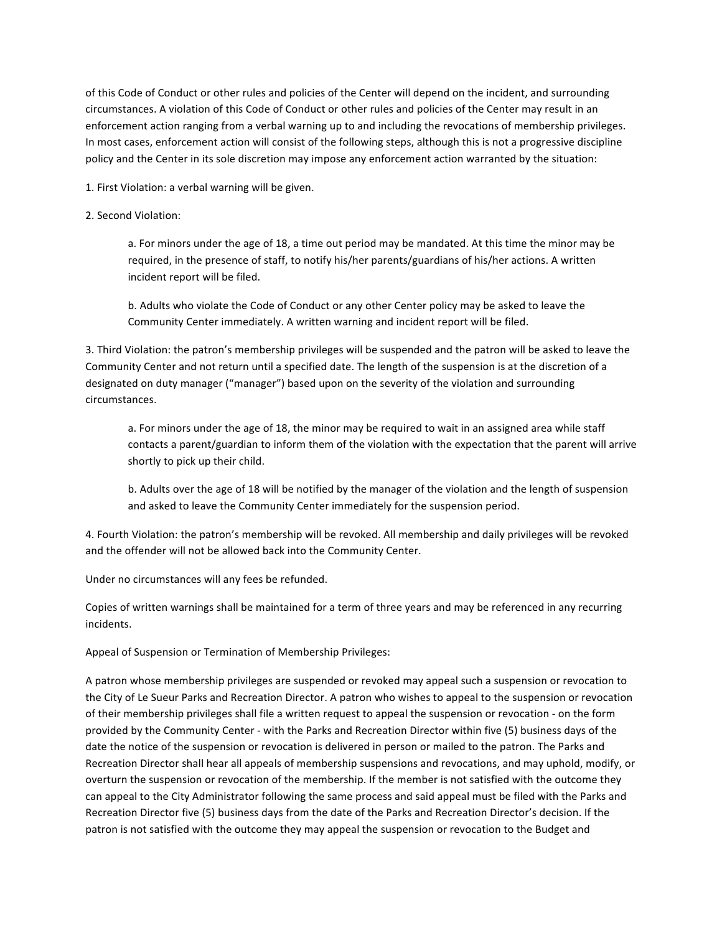of this Code of Conduct or other rules and policies of the Center will depend on the incident, and surrounding circumstances. A violation of this Code of Conduct or other rules and policies of the Center may result in an enforcement action ranging from a verbal warning up to and including the revocations of membership privileges. In most cases, enforcement action will consist of the following steps, although this is not a progressive discipline policy and the Center in its sole discretion may impose any enforcement action warranted by the situation:

1. First Violation: a verbal warning will be given.

### 2. Second Violation:

a. For minors under the age of 18, a time out period may be mandated. At this time the minor may be required, in the presence of staff, to notify his/her parents/guardians of his/her actions. A written incident report will be filed.

b. Adults who violate the Code of Conduct or any other Center policy may be asked to leave the Community Center immediately. A written warning and incident report will be filed.

3. Third Violation: the patron's membership privileges will be suspended and the patron will be asked to leave the Community Center and not return until a specified date. The length of the suspension is at the discretion of a designated on duty manager ("manager") based upon on the severity of the violation and surrounding circumstances.

a. For minors under the age of 18, the minor may be required to wait in an assigned area while staff contacts a parent/guardian to inform them of the violation with the expectation that the parent will arrive shortly to pick up their child.

b. Adults over the age of 18 will be notified by the manager of the violation and the length of suspension and asked to leave the Community Center immediately for the suspension period.

4. Fourth Violation: the patron's membership will be revoked. All membership and daily privileges will be revoked and the offender will not be allowed back into the Community Center.

Under no circumstances will any fees be refunded.

Copies of written warnings shall be maintained for a term of three years and may be referenced in any recurring incidents. 

Appeal of Suspension or Termination of Membership Privileges:

A patron whose membership privileges are suspended or revoked may appeal such a suspension or revocation to the City of Le Sueur Parks and Recreation Director. A patron who wishes to appeal to the suspension or revocation of their membership privileges shall file a written request to appeal the suspension or revocation - on the form provided by the Community Center - with the Parks and Recreation Director within five (5) business days of the date the notice of the suspension or revocation is delivered in person or mailed to the patron. The Parks and Recreation Director shall hear all appeals of membership suspensions and revocations, and may uphold, modify, or overturn the suspension or revocation of the membership. If the member is not satisfied with the outcome they can appeal to the City Administrator following the same process and said appeal must be filed with the Parks and Recreation Director five (5) business days from the date of the Parks and Recreation Director's decision. If the patron is not satisfied with the outcome they may appeal the suspension or revocation to the Budget and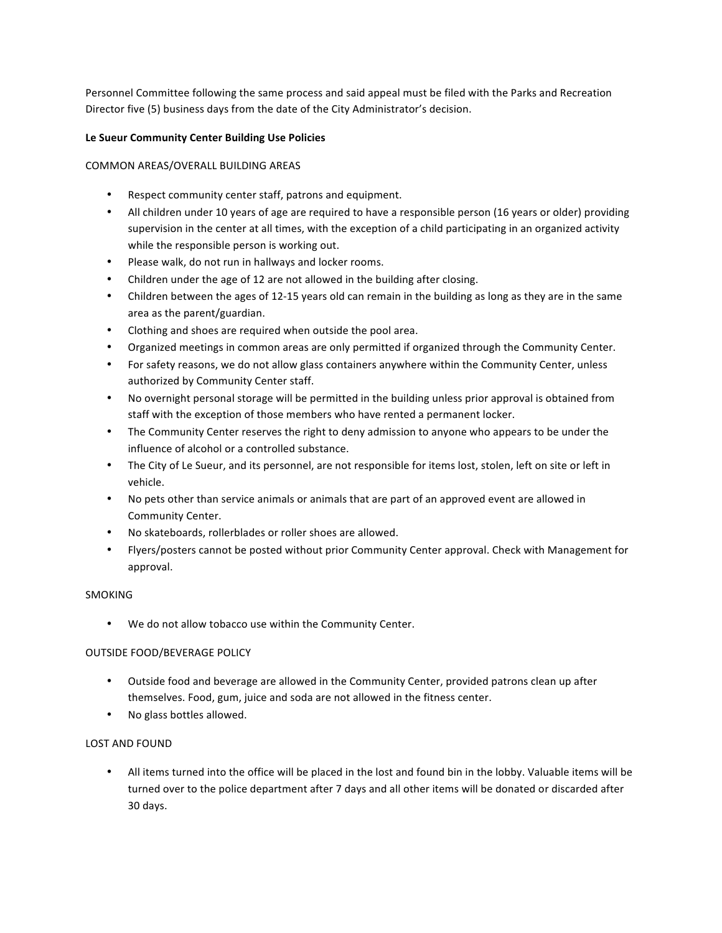Personnel Committee following the same process and said appeal must be filed with the Parks and Recreation Director five (5) business days from the date of the City Administrator's decision.

# Le Sueur Community Center Building Use Policies

COMMON AREAS/OVERALL BUILDING AREAS

- Respect community center staff, patrons and equipment.
- All children under 10 years of age are required to have a responsible person (16 years or older) providing supervision in the center at all times, with the exception of a child participating in an organized activity while the responsible person is working out.
- Please walk, do not run in hallways and locker rooms.
- Children under the age of 12 are not allowed in the building after closing.
- Children between the ages of 12-15 years old can remain in the building as long as they are in the same area as the parent/guardian.
- Clothing and shoes are required when outside the pool area.
- Organized meetings in common areas are only permitted if organized through the Community Center.
- For safety reasons, we do not allow glass containers anywhere within the Community Center, unless authorized by Community Center staff.
- No overnight personal storage will be permitted in the building unless prior approval is obtained from staff with the exception of those members who have rented a permanent locker.
- The Community Center reserves the right to deny admission to anyone who appears to be under the influence of alcohol or a controlled substance.
- The City of Le Sueur, and its personnel, are not responsible for items lost, stolen, left on site or left in vehicle.
- No pets other than service animals or animals that are part of an approved event are allowed in Community Center.
- No skateboards, rollerblades or roller shoes are allowed.
- Flyers/posters cannot be posted without prior Community Center approval. Check with Management for approval.

# SMOKING

• We do not allow tobacco use within the Community Center.

# OUTSIDE FOOD/BEVERAGE POLICY

- Outside food and beverage are allowed in the Community Center, provided patrons clean up after themselves. Food, gum, juice and soda are not allowed in the fitness center.
- No glass bottles allowed.

# LOST AND FOUND

All items turned into the office will be placed in the lost and found bin in the lobby. Valuable items will be turned over to the police department after 7 days and all other items will be donated or discarded after 30 days.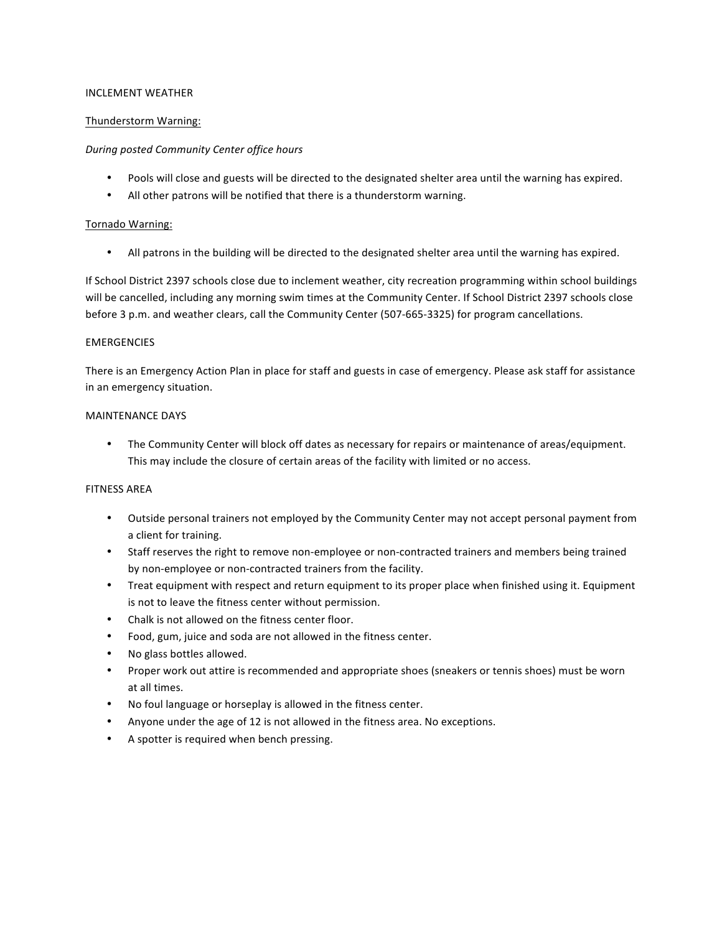### INCLEMENT WEATHER

### Thunderstorm Warning:

### *During posted Community Center office hours*

- Pools will close and guests will be directed to the designated shelter area until the warning has expired.
- All other patrons will be notified that there is a thunderstorm warning.

### Tornado Warning:

• All patrons in the building will be directed to the designated shelter area until the warning has expired.

If School District 2397 schools close due to inclement weather, city recreation programming within school buildings will be cancelled, including any morning swim times at the Community Center. If School District 2397 schools close before 3 p.m. and weather clears, call the Community Center (507-665-3325) for program cancellations.

#### EMERGENCIES

There is an Emergency Action Plan in place for staff and guests in case of emergency. Please ask staff for assistance in an emergency situation.

#### MAINTENANCE DAYS

• The Community Center will block off dates as necessary for repairs or maintenance of areas/equipment. This may include the closure of certain areas of the facility with limited or no access.

### **FITNESS AREA**

- Outside personal trainers not employed by the Community Center may not accept personal payment from a client for training.
- Staff reserves the right to remove non-employee or non-contracted trainers and members being trained by non-employee or non-contracted trainers from the facility.
- Treat equipment with respect and return equipment to its proper place when finished using it. Equipment is not to leave the fitness center without permission.
- Chalk is not allowed on the fitness center floor.
- Food, gum, juice and soda are not allowed in the fitness center.
- No glass bottles allowed.
- Proper work out attire is recommended and appropriate shoes (sneakers or tennis shoes) must be worn at all times.
- No foul language or horseplay is allowed in the fitness center.
- Anyone under the age of 12 is not allowed in the fitness area. No exceptions.
- A spotter is required when bench pressing.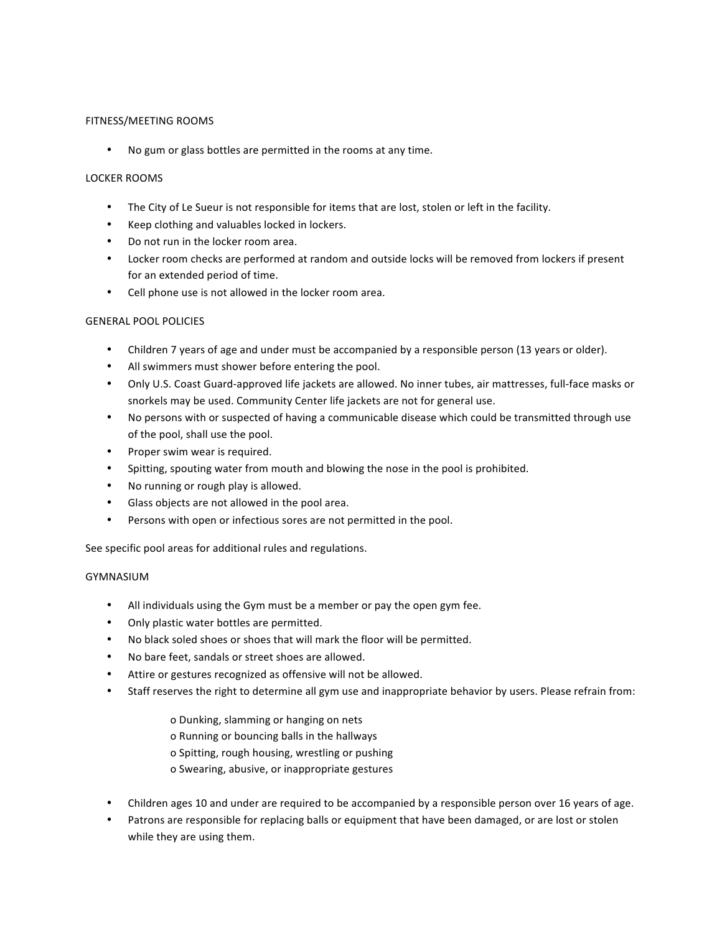# FITNESS/MEETING ROOMS

• No gum or glass bottles are permitted in the rooms at any time.

### LOCKER ROOMS

- The City of Le Sueur is not responsible for items that are lost, stolen or left in the facility.
- Keep clothing and valuables locked in lockers.
- Do not run in the locker room area.
- Locker room checks are performed at random and outside locks will be removed from lockers if present for an extended period of time.
- Cell phone use is not allowed in the locker room area.

### **GENERAL POOL POLICIES**

- Children 7 years of age and under must be accompanied by a responsible person (13 years or older).
- All swimmers must shower before entering the pool.
- Only U.S. Coast Guard-approved life jackets are allowed. No inner tubes, air mattresses, full-face masks or snorkels may be used. Community Center life jackets are not for general use.
- No persons with or suspected of having a communicable disease which could be transmitted through use of the pool, shall use the pool.
- Proper swim wear is required.
- Spitting, spouting water from mouth and blowing the nose in the pool is prohibited.
- No running or rough play is allowed.
- Glass objects are not allowed in the pool area.
- Persons with open or infectious sores are not permitted in the pool.

See specific pool areas for additional rules and regulations.

# GYMNASIUM

- All individuals using the Gym must be a member or pay the open gym fee.
- Only plastic water bottles are permitted.
- No black soled shoes or shoes that will mark the floor will be permitted.
- No bare feet, sandals or street shoes are allowed.
- Attire or gestures recognized as offensive will not be allowed.
- Staff reserves the right to determine all gym use and inappropriate behavior by users. Please refrain from:
	- o Dunking, slamming or hanging on nets
	- o Running or bouncing balls in the hallways
	- o Spitting, rough housing, wrestling or pushing
	- o Swearing, abusive, or inappropriate gestures
- Children ages 10 and under are required to be accompanied by a responsible person over 16 years of age.
- Patrons are responsible for replacing balls or equipment that have been damaged, or are lost or stolen while they are using them.